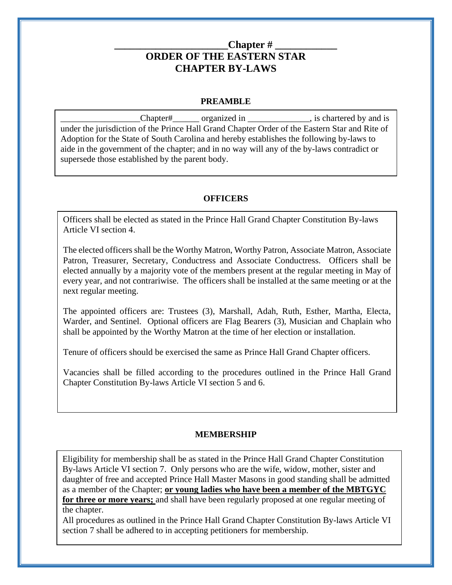## Chapter # **ORDER OF THE EASTERN STAR CHAPTER BY-LAWS**

#### **PREAMBLE**

\_\_\_\_\_\_\_\_\_\_\_\_\_\_\_\_\_\_Chapter#\_\_\_\_\_\_ organized in \_\_\_\_\_\_\_\_\_\_\_\_\_\_, is chartered by and is under the jurisdiction of the Prince Hall Grand Chapter Order of the Eastern Star and Rite of Adoption for the State of South Carolina and hereby establishes the following by-laws to aide in the government of the chapter; and in no way will any of the by-laws contradict or supersede those established by the parent body.

## **OFFICERS**

Officers shall be elected as stated in the Prince Hall Grand Chapter Constitution By-laws Article VI section 4.

The elected officers shall be the Worthy Matron, Worthy Patron, Associate Matron, Associate Patron, Treasurer, Secretary, Conductress and Associate Conductress. Officers shall be elected annually by a majority vote of the members present at the regular meeting in May of every year, and not contrariwise. The officers shall be installed at the same meeting or at the next regular meeting.

The appointed officers are: Trustees (3), Marshall, Adah, Ruth, Esther, Martha, Electa, Warder, and Sentinel. Optional officers are Flag Bearers (3), Musician and Chaplain who shall be appointed by the Worthy Matron at the time of her election or installation.

Tenure of officers should be exercised the same as Prince Hall Grand Chapter officers.

Vacancies shall be filled according to the procedures outlined in the Prince Hall Grand Chapter Constitution By-laws Article VI section 5 and 6.

## **MEMBERSHIP**

Eligibility for membership shall be as stated in the Prince Hall Grand Chapter Constitution By-laws Article VI section 7. Only persons who are the wife, widow, mother, sister and daughter of free and accepted Prince Hall Master Masons in good standing shall be admitted as a member of the Chapter; **or young ladies who have been a member of the MBTGYC** 

**for three or more years;** and shall have been regularly proposed at one regular meeting of the chapter.

All procedures as outlined in the Prince Hall Grand Chapter Constitution By-laws Article VI section 7 shall be adhered to in accepting petitioners for membership.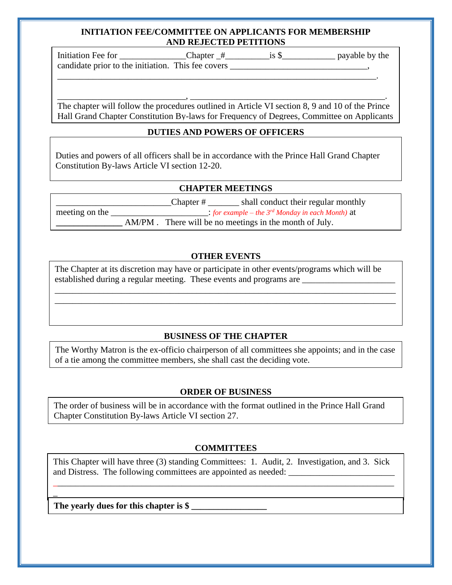#### **INITIATION FEE/COMMITTEE ON APPLICANTS FOR MEMBERSHIP AND REJECTED PETITIONS**

Initiation Fee for \_\_\_\_\_\_\_\_\_\_\_\_\_\_\_Chapter \_#\_\_\_\_\_\_\_\_\_\_is \$\_\_\_\_\_\_\_\_\_\_\_\_ payable by the candidate prior to the initiation. This fee covers \_\_\_\_\_\_\_\_\_\_\_\_\_\_\_\_\_\_\_\_\_\_\_\_\_\_\_\_\_

The chapter will follow the procedures outlined in Article VI section 8, 9 and 10 of the Prince Hall Grand Chapter Constitution By-laws for Frequency of Degrees, Committee on Applicants

\_\_\_\_\_\_\_\_\_\_\_\_\_\_\_\_\_\_\_\_\_\_\_\_\_\_\_\_\_, \_\_\_\_\_\_\_\_\_\_\_\_\_\_\_\_\_\_\_\_\_\_\_\_\_\_\_\_\_\_\_\_\_\_\_\_\_\_\_\_\_\_\_\_.

\_\_\_\_\_\_\_\_\_\_\_\_\_\_\_\_\_\_\_\_\_\_\_\_\_\_\_\_\_\_\_\_\_\_\_\_\_\_\_\_\_\_\_\_\_\_\_\_\_\_\_\_\_\_\_\_\_\_\_\_\_\_\_\_\_\_\_\_\_\_\_\_.

# **DUTIES AND POWERS OF OFFICERS**

Duties and powers of all officers shall be in accordance with the Prince Hall Grand Chapter Constitution By-laws Article VI section 12-20.

## **CHAPTER MEETINGS**

 \_\_\_\_\_\_\_\_\_\_\_\_\_\_\_\_\_\_\_\_\_\_\_\_\_\_Chapter # \_\_\_\_\_\_\_ shall conduct their regular monthly meeting on the  $\therefore$  *for example – the 3<sup>rd</sup> Monday in each Month*) at **EXECUTE:** AM/PM . There will be no meetings in the month of July.

## **OTHER EVENTS**

\_\_\_\_\_\_\_\_\_\_\_\_\_\_\_\_\_\_\_\_\_\_\_\_\_\_\_\_\_\_\_\_\_\_\_\_\_\_\_\_\_\_\_\_\_\_\_\_\_\_\_\_\_\_\_\_\_\_\_\_\_\_\_\_\_\_\_\_\_\_\_\_\_\_\_\_\_ \_\_\_\_\_\_\_\_\_\_\_\_\_\_\_\_\_\_\_\_\_\_\_\_\_\_\_\_\_\_\_\_\_\_\_\_\_\_\_\_\_\_\_\_\_\_\_\_\_\_\_\_\_\_\_\_\_\_\_\_\_\_\_\_\_\_\_\_\_\_\_\_\_\_\_\_\_

The Chapter at its discretion may have or participate in other events/programs which will be established during a regular meeting. These events and programs are \_\_\_\_\_\_\_\_\_\_\_\_\_

## **BUSINESS OF THE CHAPTER**

The Worthy Matron is the ex-officio chairperson of all committees she appoints; and in the case of a tie among the committee members, she shall cast the deciding vote.

## **ORDER OF BUSINESS**

The order of business will be in accordance with the format outlined in the Prince Hall Grand Chapter Constitution By-laws Article VI section 27.

## **COMMITTEES**

This Chapter will have three (3) standing Committees: 1. Audit, 2. Investigation, and 3. Sick and Distress. The following committees are appointed as needed:

\_\_\_\_\_\_\_\_\_\_\_\_\_\_\_\_\_\_\_\_\_\_\_\_\_\_\_\_\_\_\_\_\_\_\_\_\_\_\_\_\_\_\_\_\_\_\_\_\_\_\_\_\_\_\_\_\_\_\_\_\_\_\_\_\_\_\_\_\_\_\_\_\_\_\_\_\_

The yearly dues for this chapter is \$

\_